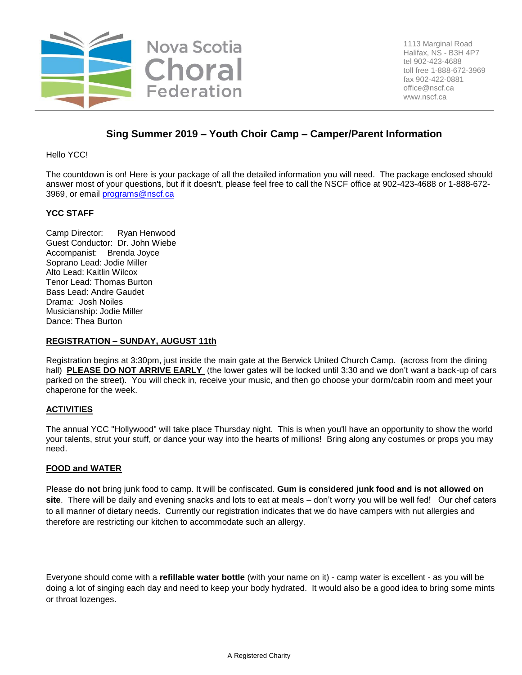

# **Sing Summer 2019 – Youth Choir Camp – Camper/Parent Information**

Hello YCC!

The countdown is on! Here is your package of all the detailed information you will need. The package enclosed should answer most of your questions, but if it doesn't, please feel free to call the NSCF office at 902-423-4688 or 1-888-672- 3969, or email [programs@nscf.ca](mailto:programs@nscf.ca) 

#### **YCC STAFF**

Camp Director: Ryan Henwood Guest Conductor: Dr. John Wiebe Accompanist: Brenda Joyce Soprano Lead: Jodie Miller Alto Lead: Kaitlin Wilcox Tenor Lead: Thomas Burton Bass Lead: Andre Gaudet Drama: Josh Noiles Musicianship: Jodie Miller Dance: Thea Burton

#### **REGISTRATION – SUNDAY, AUGUST 11th**

Registration begins at 3:30pm, just inside the main gate at the Berwick United Church Camp. (across from the dining hall) **PLEASE DO NOT ARRIVE EARLY** (the lower gates will be locked until 3:30 and we don't want a back-up of cars parked on the street). You will check in, receive your music, and then go choose your dorm/cabin room and meet your chaperone for the week.

#### **ACTIVITIES**

The annual YCC "Hollywood" will take place Thursday night. This is when you'll have an opportunity to show the world your talents, strut your stuff, or dance your way into the hearts of millions! Bring along any costumes or props you may need.

#### **FOOD and WATER**

Please **do not** bring junk food to camp. It will be confiscated. **Gum is considered junk food and is not allowed on site**. There will be daily and evening snacks and lots to eat at meals – don't worry you will be well fed! Our chef caters to all manner of dietary needs. Currently our registration indicates that we do have campers with nut allergies and therefore are restricting our kitchen to accommodate such an allergy.

Everyone should come with a **refillable water bottle** (with your name on it) - camp water is excellent - as you will be doing a lot of singing each day and need to keep your body hydrated. It would also be a good idea to bring some mints or throat lozenges.